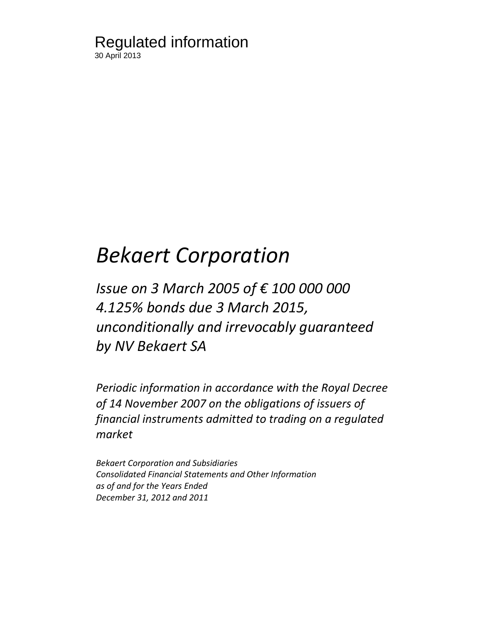### Regulated information 30 April 2013

# *Bekaert Corporation*

## *Issue on 3 March 2005 of € 100 000 000 4.125% bonds due 3 March 2015, unconditionally and irrevocably guaranteed by NV Bekaert SA*

*Periodic information in accordance with the Royal Decree of 14 November 2007 on the obligations of issuers of financial instruments admitted to trading on a regulated market*

*Bekaert Corporation and Subsidiaries Consolidated Financial Statements and Other Information as of and for the Years Ended December 31, 2012 and 2011*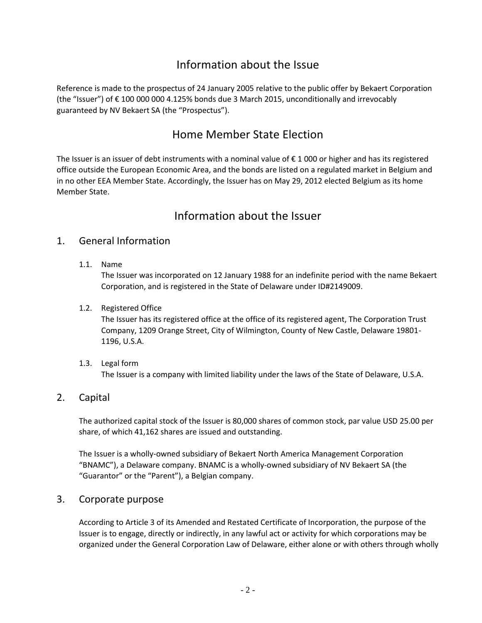### Information about the Issue

Reference is made to the prospectus of 24 January 2005 relative to the public offer by Bekaert Corporation (the "Issuer") of € 100 000 000 4.125% bonds due 3 March 2015, unconditionally and irrevocably guaranteed by NV Bekaert SA (the "Prospectus").

### Home Member State Election

The Issuer is an issuer of debt instruments with a nominal value of € 1 000 or higher and has its registered office outside the European Economic Area, and the bonds are listed on a regulated market in Belgium and in no other EEA Member State. Accordingly, the Issuer has on May 29, 2012 elected Belgium as its home Member State.

### Information about the Issuer

#### 1. General Information

1.1. Name

The Issuer was incorporated on 12 January 1988 for an indefinite period with the name Bekaert Corporation, and is registered in the State of Delaware under ID#2149009.

1.2. Registered Office

The Issuer has its registered office at the office of its registered agent, The Corporation Trust Company, 1209 Orange Street, City of Wilmington, County of New Castle, Delaware 19801- 1196, U.S.A.

1.3. Legal form

The Issuer is a company with limited liability under the laws of the State of Delaware, U.S.A.

### 2. Capital

The authorized capital stock of the Issuer is 80,000 shares of common stock, par value USD 25.00 per share, of which 41,162 shares are issued and outstanding.

The Issuer is a wholly-owned subsidiary of Bekaert North America Management Corporation "BNAMC"), a Delaware company. BNAMC is a wholly-owned subsidiary of NV Bekaert SA (the "Guarantor" or the "Parent"), a Belgian company.

#### 3. Corporate purpose

According to Article 3 of its Amended and Restated Certificate of Incorporation, the purpose of the Issuer is to engage, directly or indirectly, in any lawful act or activity for which corporations may be organized under the General Corporation Law of Delaware, either alone or with others through wholly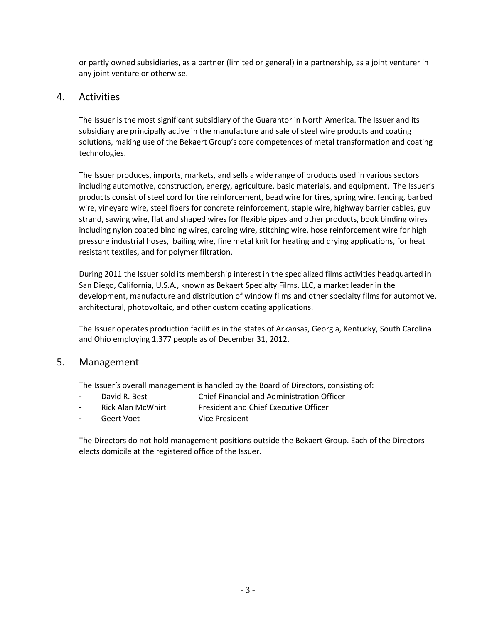or partly owned subsidiaries, as a partner (limited or general) in a partnership, as a joint venturer in any joint venture or otherwise.

### 4. Activities

The Issuer is the most significant subsidiary of the Guarantor in North America. The Issuer and its subsidiary are principally active in the manufacture and sale of steel wire products and coating solutions, making use of the Bekaert Group's core competences of metal transformation and coating technologies.

The Issuer produces, imports, markets, and sells a wide range of products used in various sectors including automotive, construction, energy, agriculture, basic materials, and equipment. The Issuer's products consist of steel cord for tire reinforcement, bead wire for tires, spring wire, fencing, barbed wire, vineyard wire, steel fibers for concrete reinforcement, staple wire, highway barrier cables, guy strand, sawing wire, flat and shaped wires for flexible pipes and other products, book binding wires including nylon coated binding wires, carding wire, stitching wire, hose reinforcement wire for high pressure industrial hoses, bailing wire, fine metal knit for heating and drying applications, for heat resistant textiles, and for polymer filtration.

During 2011 the Issuer sold its membership interest in the specialized films activities headquarted in San Diego, California, U.S.A., known as Bekaert Specialty Films, LLC, a market leader in the development, manufacture and distribution of window films and other specialty films for automotive, architectural, photovoltaic, and other custom coating applications.

The Issuer operates production facilities in the states of Arkansas, Georgia, Kentucky, South Carolina and Ohio employing 1,377 people as of December 31, 2012.

#### 5. Management

The Issuer's overall management is handled by the Board of Directors, consisting of:

- David R. Best Chief Financial and Administration Officer
- Rick Alan McWhirt President and Chief Executive Officer
- Geert Voet Vice President

The Directors do not hold management positions outside the Bekaert Group. Each of the Directors elects domicile at the registered office of the Issuer.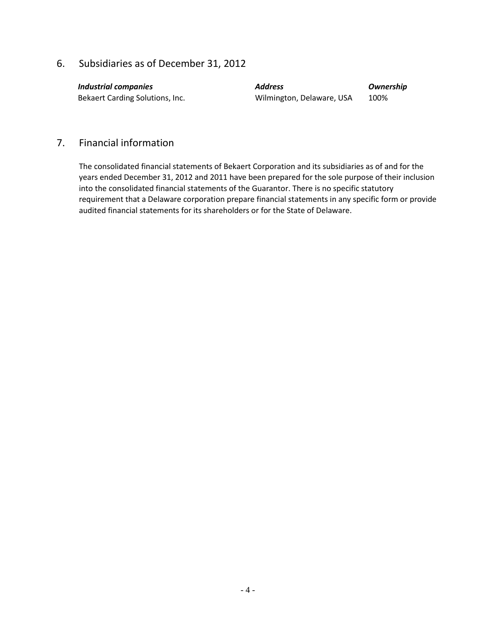### 6. Subsidiaries as of December 31, 2012

| <b>Industrial companie.</b> |
|-----------------------------|
|                             |

Bekaert Carding Solutions, Inc. The Milmington, Delaware, USA 100%

*Industrial companies Address Ownership*

#### 7. Financial information

The consolidated financial statements of Bekaert Corporation and its subsidiaries as of and for the years ended December 31, 2012 and 2011 have been prepared for the sole purpose of their inclusion into the consolidated financial statements of the Guarantor. There is no specific statutory requirement that a Delaware corporation prepare financial statements in any specific form or provide audited financial statements for its shareholders or for the State of Delaware.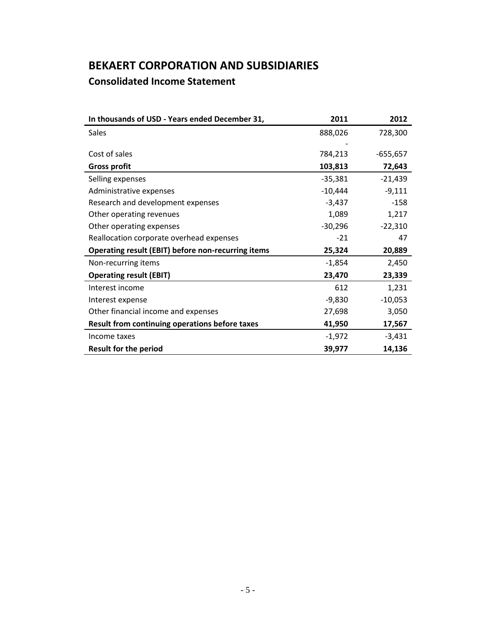### **BEKAERT CORPORATION AND SUBSIDIARIES Consolidated Income Statement**

| In thousands of USD - Years ended December 31,     | 2011      | 2012       |
|----------------------------------------------------|-----------|------------|
| Sales                                              | 888,026   | 728,300    |
|                                                    |           |            |
| Cost of sales                                      | 784,213   | $-655,657$ |
| <b>Gross profit</b>                                | 103,813   | 72,643     |
| Selling expenses                                   | $-35,381$ | $-21,439$  |
| Administrative expenses                            | $-10,444$ | $-9,111$   |
| Research and development expenses                  | $-3,437$  | $-158$     |
| Other operating revenues                           | 1,089     | 1,217      |
| Other operating expenses                           | $-30,296$ | $-22,310$  |
| Reallocation corporate overhead expenses           | $-21$     | 47         |
| Operating result (EBIT) before non-recurring items | 25,324    | 20,889     |
| Non-recurring items                                | $-1,854$  | 2,450      |
| <b>Operating result (EBIT)</b>                     | 23,470    | 23,339     |
| Interest income                                    | 612       | 1,231      |
| Interest expense                                   | $-9,830$  | $-10,053$  |
| Other financial income and expenses                | 27,698    | 3,050      |
| Result from continuing operations before taxes     | 41,950    | 17,567     |
| Income taxes                                       | $-1,972$  | $-3,431$   |
| <b>Result for the period</b>                       | 39,977    | 14,136     |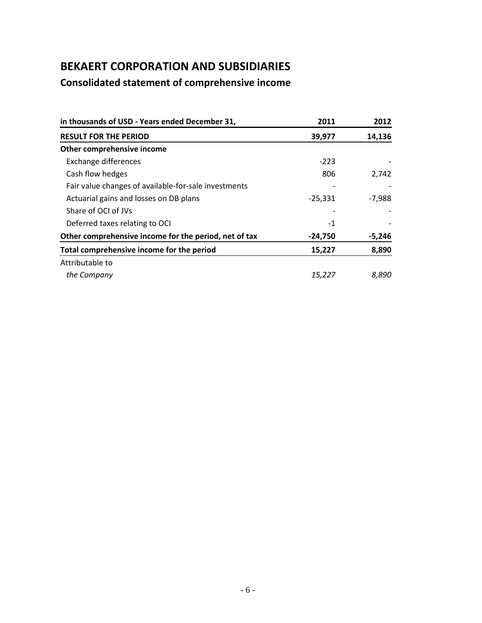### **Consolidated statement of comprehensive income**

| in thousands of USD - Years ended December 31,        | 2011      | 2012     |
|-------------------------------------------------------|-----------|----------|
| <b>RESULT FOR THE PERIOD</b>                          | 39,977    | 14,136   |
| Other comprehensive income                            |           |          |
| Exchange differences                                  | $-223$    |          |
| Cash flow hedges                                      | 806       | 2,742    |
| Fair value changes of available-for-sale investments  |           |          |
| Actuarial gains and losses on DB plans                | $-25,331$ | $-7,988$ |
| Share of OCI of JVs                                   |           |          |
| Deferred taxes relating to OCI                        | $-1$      |          |
| Other comprehensive income for the period, net of tax | $-24,750$ | $-5,246$ |
| Total comprehensive income for the period             | 15,227    | 8,890    |
| Attributable to                                       |           |          |
| the Company                                           | 15,227    | 8.890    |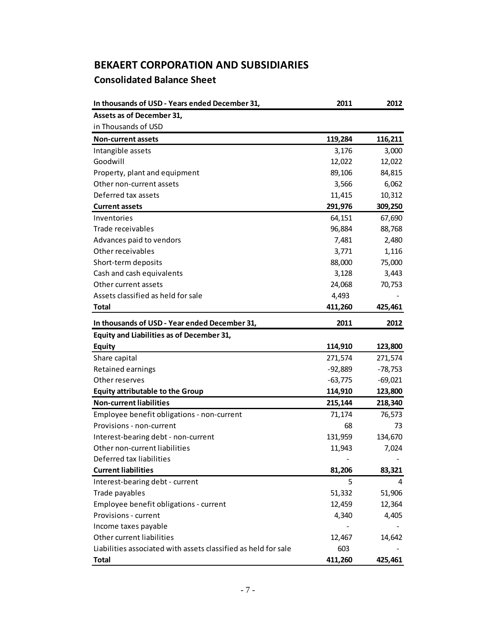### **Consolidated Balance Sheet BEKAERT CORPORATION AND SUBSIDIARIES**

| In thousands of USD - Years ended December 31,                 | 2011      | 2012      |
|----------------------------------------------------------------|-----------|-----------|
| Assets as of December 31,                                      |           |           |
| in Thousands of USD                                            |           |           |
| <b>Non-current assets</b>                                      | 119,284   | 116,211   |
| Intangible assets                                              | 3,176     | 3,000     |
| Goodwill                                                       | 12,022    | 12,022    |
| Property, plant and equipment                                  | 89,106    | 84,815    |
| Other non-current assets                                       | 3,566     | 6,062     |
| Deferred tax assets                                            | 11,415    | 10,312    |
| <b>Current assets</b>                                          | 291,976   | 309,250   |
| Inventories                                                    | 64,151    | 67,690    |
| Trade receivables                                              | 96,884    | 88,768    |
| Advances paid to vendors                                       | 7,481     | 2,480     |
| Other receivables                                              | 3,771     | 1,116     |
| Short-term deposits                                            | 88,000    | 75,000    |
| Cash and cash equivalents                                      | 3,128     | 3,443     |
| Other current assets                                           | 24,068    | 70,753    |
| Assets classified as held for sale                             | 4,493     |           |
| <b>Total</b>                                                   | 411,260   | 425,461   |
| In thousands of USD - Year ended December 31,                  | 2011      | 2012      |
| Equity and Liabilities as of December 31,                      |           |           |
| <b>Equity</b>                                                  | 114,910   | 123,800   |
| Share capital                                                  | 271,574   | 271,574   |
| Retained earnings                                              | $-92,889$ | $-78,753$ |
| Other reserves                                                 | $-63,775$ | $-69,021$ |
| <b>Equity attributable to the Group</b>                        | 114,910   | 123,800   |
| <b>Non-current liabilities</b>                                 | 215,144   | 218,340   |
| Employee benefit obligations - non-current                     | 71,174    | 76,573    |
| Provisions - non-current                                       | 68        | 73        |
| Interest-bearing debt - non-current                            | 131,959   | 134,670   |
| Other non-current liabilities                                  | 11,943    | 7,024     |
| Deferred tax liabilities                                       |           |           |
| <b>Current liabilities</b>                                     | 81,206    | 83,321    |
| Interest-bearing debt - current                                | 5         | 4         |
| Trade payables                                                 | 51,332    | 51,906    |
| Employee benefit obligations - current                         | 12,459    | 12,364    |
| Provisions - current                                           | 4,340     | 4,405     |
| Income taxes payable                                           |           |           |
| Other current liabilities                                      | 12,467    | 14,642    |
| Liabilities associated with assets classified as held for sale | 603       |           |
| <b>Total</b>                                                   | 411,260   | 425,461   |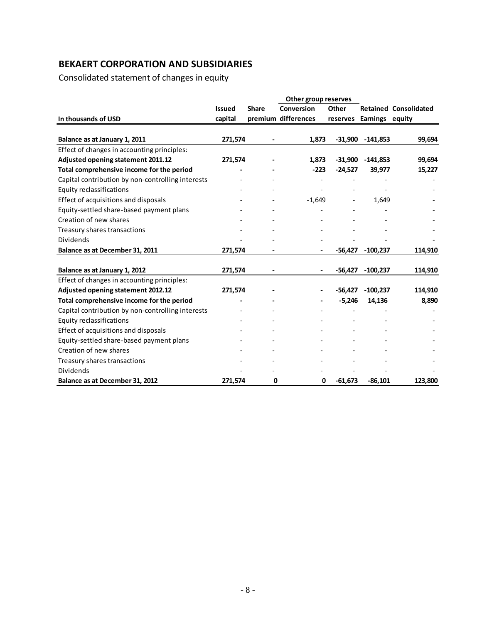Consolidated statement of changes in equity

|                                                   |               |              | Other group reserves |           |                          |                              |
|---------------------------------------------------|---------------|--------------|----------------------|-----------|--------------------------|------------------------------|
|                                                   | <b>Issued</b> | <b>Share</b> | Conversion           | Other     |                          | <b>Retained Consolidated</b> |
| In thousands of USD                               | capital       |              | premium differences  |           | reserves Earnings equity |                              |
|                                                   |               |              |                      |           |                          |                              |
| Balance as at January 1, 2011                     | 271,574       |              | 1,873                | $-31,900$ | -141,853                 | 99,694                       |
| Effect of changes in accounting principles:       |               |              |                      |           |                          |                              |
| Adjusted opening statement 2011.12                | 271,574       |              | 1,873                | $-31,900$ | $-141,853$               | 99,694                       |
| Total comprehensive income for the period         |               |              | $-223$               | $-24,527$ | 39,977                   | 15,227                       |
| Capital contribution by non-controlling interests |               |              |                      |           |                          |                              |
| <b>Equity reclassifications</b>                   |               |              |                      |           |                          |                              |
| Effect of acquisitions and disposals              |               |              | $-1,649$             |           | 1,649                    |                              |
| Equity-settled share-based payment plans          |               |              |                      |           |                          |                              |
| Creation of new shares                            |               |              |                      |           |                          |                              |
| Treasury shares transactions                      |               |              |                      |           |                          |                              |
| <b>Dividends</b>                                  |               |              |                      |           |                          |                              |
| Balance as at December 31, 2011                   | 271,574       |              |                      | $-56,427$ | $-100,237$               | 114,910                      |
| Balance as at January 1, 2012                     | 271,574       |              | $\hbox{--}$          | -56,427   | $-100,237$               | 114,910                      |
| Effect of changes in accounting principles:       |               |              |                      |           |                          |                              |
| Adjusted opening statement 2012.12                | 271,574       |              |                      | $-56,427$ | $-100,237$               | 114,910                      |
| Total comprehensive income for the period         |               |              |                      | $-5,246$  | 14,136                   | 8,890                        |
| Capital contribution by non-controlling interests |               |              |                      |           |                          |                              |
| <b>Equity reclassifications</b>                   |               |              |                      |           |                          |                              |
| Effect of acquisitions and disposals              |               |              |                      |           |                          |                              |
| Equity-settled share-based payment plans          |               |              |                      |           |                          |                              |
| Creation of new shares                            |               |              |                      |           |                          |                              |
| Treasury shares transactions                      |               |              |                      |           |                          |                              |
| Dividends                                         |               |              |                      |           |                          |                              |
| Balance as at December 31, 2012                   | 271,574       | 0            | 0                    | $-61,673$ | $-86,101$                | 123,800                      |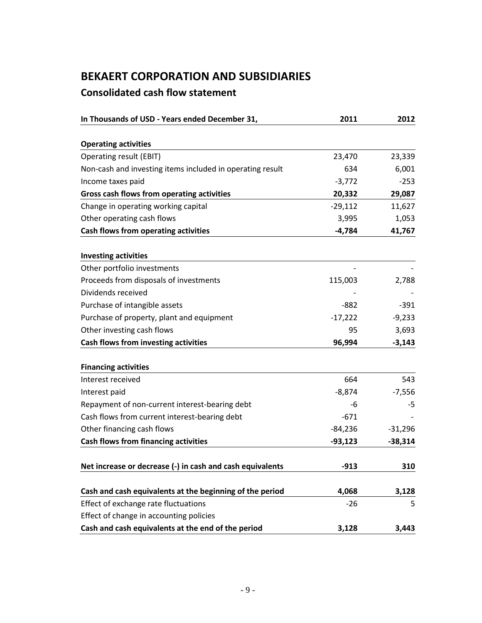### **Consolidated cash flow statement**

| In Thousands of USD - Years ended December 31,            | 2011      | 2012      |
|-----------------------------------------------------------|-----------|-----------|
|                                                           |           |           |
| <b>Operating activities</b>                               |           |           |
| Operating result (EBIT)                                   | 23,470    | 23,339    |
| Non-cash and investing items included in operating result | 634       | 6,001     |
| Income taxes paid                                         | $-3,772$  | $-253$    |
| Gross cash flows from operating activities                | 20,332    | 29,087    |
| Change in operating working capital                       | $-29,112$ | 11,627    |
| Other operating cash flows                                | 3,995     | 1,053     |
| Cash flows from operating activities                      | $-4,784$  | 41,767    |
| <b>Investing activities</b>                               |           |           |
| Other portfolio investments                               |           |           |
| Proceeds from disposals of investments                    | 115,003   | 2,788     |
| Dividends received                                        |           |           |
| Purchase of intangible assets                             | $-882$    | $-391$    |
| Purchase of property, plant and equipment                 | $-17,222$ | $-9,233$  |
| Other investing cash flows                                | 95        | 3,693     |
| Cash flows from investing activities                      | 96,994    | $-3,143$  |
|                                                           |           |           |
| <b>Financing activities</b><br>Interest received          | 664       | 543       |
|                                                           |           |           |
| Interest paid                                             | $-8,874$  | $-7,556$  |
| Repayment of non-current interest-bearing debt            | -6        | -5        |
| Cash flows from current interest-bearing debt             | $-671$    |           |
| Other financing cash flows                                | $-84,236$ | $-31,296$ |
| <b>Cash flows from financing activities</b>               | $-93,123$ | $-38,314$ |
| Net increase or decrease (-) in cash and cash equivalents | $-913$    | 310       |
|                                                           |           |           |
| Cash and cash equivalents at the beginning of the period  | 4,068     | 3,128     |
| Effect of exchange rate fluctuations                      | $-26$     | 5         |
| Effect of change in accounting policies                   |           |           |
| Cash and cash equivalents at the end of the period        | 3,128     | 3,443     |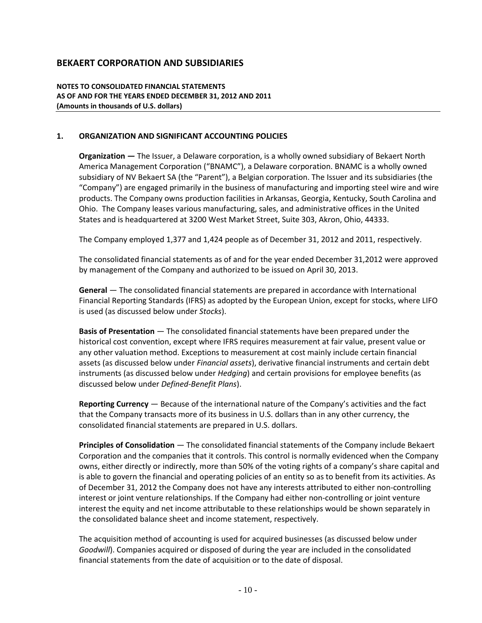**NOTES TO CONSOLIDATED FINANCIAL STATEMENTS AS OF AND FOR THE YEARS ENDED DECEMBER 31, 2012 AND 2011 (Amounts in thousands of U.S. dollars)**

#### **1. ORGANIZATION AND SIGNIFICANT ACCOUNTING POLICIES**

**Organization** *—* The Issuer, a Delaware corporation, is a wholly owned subsidiary of Bekaert North America Management Corporation ("BNAMC"), a Delaware corporation. BNAMC is a wholly owned subsidiary of NV Bekaert SA (the "Parent"), a Belgian corporation. The Issuer and its subsidiaries (the "Company") are engaged primarily in the business of manufacturing and importing steel wire and wire products. The Company owns production facilities in Arkansas, Georgia, Kentucky, South Carolina and Ohio. The Company leases various manufacturing, sales, and administrative offices in the United States and is headquartered at 3200 West Market Street, Suite 303, Akron, Ohio, 44333.

The Company employed 1,377 and 1,424 people as of December 31, 2012 and 2011, respectively.

The consolidated financial statements as of and for the year ended December 31,2012 were approved by management of the Company and authorized to be issued on April 30, 2013.

**General** — The consolidated financial statements are prepared in accordance with International Financial Reporting Standards (IFRS) as adopted by the European Union, except for stocks, where LIFO is used (as discussed below under *Stocks*).

**Basis of Presentation** — The consolidated financial statements have been prepared under the historical cost convention, except where IFRS requires measurement at fair value, present value or any other valuation method. Exceptions to measurement at cost mainly include certain financial assets (as discussed below under *Financial assets*), derivative financial instruments and certain debt instruments (as discussed below under *Hedging*) and certain provisions for employee benefits (as discussed below under *Defined-Benefit Plans*).

**Reporting Currency** — Because of the international nature of the Company's activities and the fact that the Company transacts more of its business in U.S. dollars than in any other currency, the consolidated financial statements are prepared in U.S. dollars.

**Principles of Consolidation** — The consolidated financial statements of the Company include Bekaert Corporation and the companies that it controls. This control is normally evidenced when the Company owns, either directly or indirectly, more than 50% of the voting rights of a company's share capital and is able to govern the financial and operating policies of an entity so as to benefit from its activities. As of December 31, 2012 the Company does not have any interests attributed to either non-controlling interest or joint venture relationships. If the Company had either non-controlling or joint venture interest the equity and net income attributable to these relationships would be shown separately in the consolidated balance sheet and income statement, respectively.

The acquisition method of accounting is used for acquired businesses (as discussed below under *Goodwill*). Companies acquired or disposed of during the year are included in the consolidated financial statements from the date of acquisition or to the date of disposal.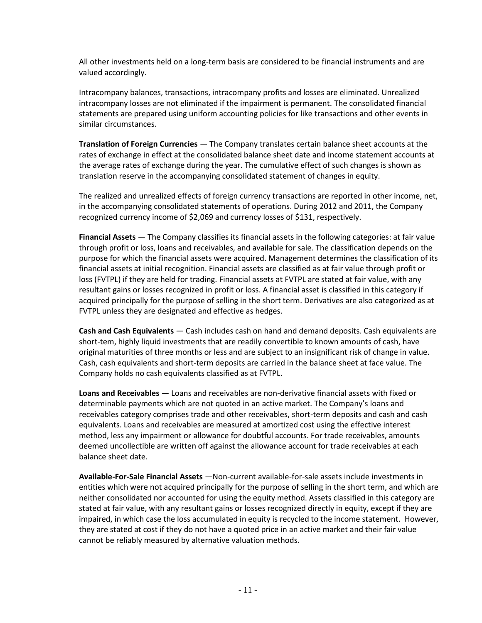All other investments held on a long-term basis are considered to be financial instruments and are valued accordingly.

Intracompany balances, transactions, intracompany profits and losses are eliminated. Unrealized intracompany losses are not eliminated if the impairment is permanent. The consolidated financial statements are prepared using uniform accounting policies for like transactions and other events in similar circumstances.

**Translation of Foreign Currencies** — The Company translates certain balance sheet accounts at the rates of exchange in effect at the consolidated balance sheet date and income statement accounts at the average rates of exchange during the year. The cumulative effect of such changes is shown as translation reserve in the accompanying consolidated statement of changes in equity.

The realized and unrealized effects of foreign currency transactions are reported in other income, net, in the accompanying consolidated statements of operations. During 2012 and 2011, the Company recognized currency income of \$2,069 and currency losses of \$131, respectively.

**Financial Assets** — The Company classifies its financial assets in the following categories: at fair value through profit or loss, loans and receivables, and available for sale. The classification depends on the purpose for which the financial assets were acquired. Management determines the classification of its financial assets at initial recognition. Financial assets are classified as at fair value through profit or loss (FVTPL) if they are held for trading. Financial assets at FVTPL are stated at fair value, with any resultant gains or losses recognized in profit or loss. A financial asset is classified in this category if acquired principally for the purpose of selling in the short term. Derivatives are also categorized as at FVTPL unless they are designated and effective as hedges.

**Cash and Cash Equivalents** — Cash includes cash on hand and demand deposits. Cash equivalents are short-tem, highly liquid investments that are readily convertible to known amounts of cash, have original maturities of three months or less and are subject to an insignificant risk of change in value. Cash, cash equivalents and short-term deposits are carried in the balance sheet at face value. The Company holds no cash equivalents classified as at FVTPL.

**Loans and Receivables** — Loans and receivables are non-derivative financial assets with fixed or determinable payments which are not quoted in an active market. The Company's loans and receivables category comprises trade and other receivables, short-term deposits and cash and cash equivalents. Loans and receivables are measured at amortized cost using the effective interest method, less any impairment or allowance for doubtful accounts. For trade receivables, amounts deemed uncollectible are written off against the allowance account for trade receivables at each balance sheet date.

**Available-For-Sale Financial Assets** —Non-current available-for-sale assets include investments in entities which were not acquired principally for the purpose of selling in the short term, and which are neither consolidated nor accounted for using the equity method. Assets classified in this category are stated at fair value, with any resultant gains or losses recognized directly in equity, except if they are impaired, in which case the loss accumulated in equity is recycled to the income statement. However, they are stated at cost if they do not have a quoted price in an active market and their fair value cannot be reliably measured by alternative valuation methods.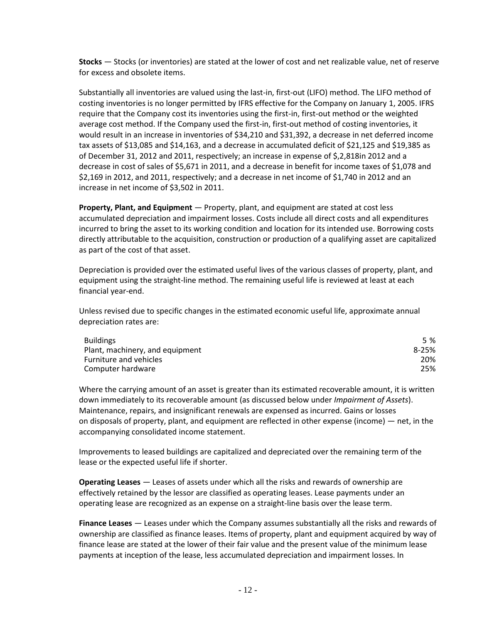**Stocks** — Stocks (or inventories) are stated at the lower of cost and net realizable value, net of reserve for excess and obsolete items.

Substantially all inventories are valued using the last-in, first-out (LIFO) method. The LIFO method of costing inventories is no longer permitted by IFRS effective for the Company on January 1, 2005. IFRS require that the Company cost its inventories using the first-in, first-out method or the weighted average cost method. If the Company used the first-in, first-out method of costing inventories, it would result in an increase in inventories of \$34,210 and \$31,392, a decrease in net deferred income tax assets of \$13,085 and \$14,163, and a decrease in accumulated deficit of \$21,125 and \$19,385 as of December 31, 2012 and 2011, respectively; an increase in expense of \$,2,818in 2012 and a decrease in cost of sales of \$5,671 in 2011, and a decrease in benefit for income taxes of \$1,078 and \$2,169 in 2012, and 2011, respectively; and a decrease in net income of \$1,740 in 2012 and an increase in net income of \$3,502 in 2011.

**Property, Plant, and Equipment** — Property, plant, and equipment are stated at cost less accumulated depreciation and impairment losses. Costs include all direct costs and all expenditures incurred to bring the asset to its working condition and location for its intended use. Borrowing costs directly attributable to the acquisition, construction or production of a qualifying asset are capitalized as part of the cost of that asset.

Depreciation is provided over the estimated useful lives of the various classes of property, plant, and equipment using the straight-line method. The remaining useful life is reviewed at least at each financial year-end.

Unless revised due to specific changes in the estimated economic useful life, approximate annual depreciation rates are:

| <b>Buildings</b>                | 5 %       |
|---------------------------------|-----------|
| Plant, machinery, and equipment | $8 - 25%$ |
| <b>Furniture and vehicles</b>   | 20%       |
| Computer hardware               | 25%       |

Where the carrying amount of an asset is greater than its estimated recoverable amount, it is written down immediately to its recoverable amount (as discussed below under *Impairment of Assets*). Maintenance, repairs, and insignificant renewals are expensed as incurred. Gains or losses on disposals of property, plant, and equipment are reflected in other expense (income) — net, in the accompanying consolidated income statement.

Improvements to leased buildings are capitalized and depreciated over the remaining term of the lease or the expected useful life if shorter.

**Operating Leases** — Leases of assets under which all the risks and rewards of ownership are effectively retained by the lessor are classified as operating leases. Lease payments under an operating lease are recognized as an expense on a straight-line basis over the lease term.

**Finance Leases** — Leases under which the Company assumes substantially all the risks and rewards of ownership are classified as finance leases. Items of property, plant and equipment acquired by way of finance lease are stated at the lower of their fair value and the present value of the minimum lease payments at inception of the lease, less accumulated depreciation and impairment losses. In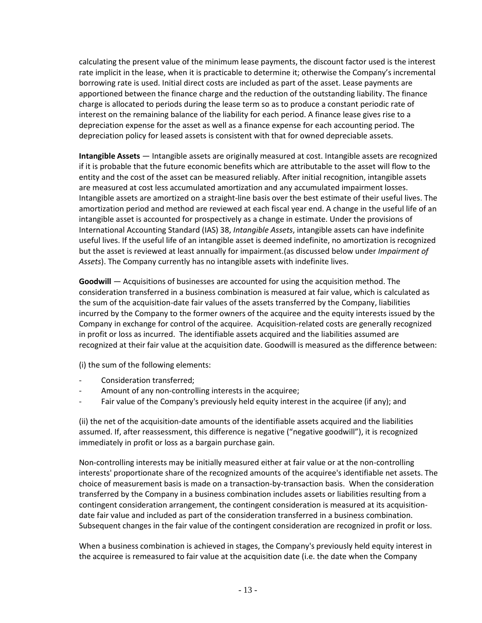calculating the present value of the minimum lease payments, the discount factor used is the interest rate implicit in the lease, when it is practicable to determine it; otherwise the Company's incremental borrowing rate is used. Initial direct costs are included as part of the asset. Lease payments are apportioned between the finance charge and the reduction of the outstanding liability. The finance charge is allocated to periods during the lease term so as to produce a constant periodic rate of interest on the remaining balance of the liability for each period. A finance lease gives rise to a depreciation expense for the asset as well as a finance expense for each accounting period. The depreciation policy for leased assets is consistent with that for owned depreciable assets.

**Intangible Assets** — Intangible assets are originally measured at cost. Intangible assets are recognized if it is probable that the future economic benefits which are attributable to the asset will flow to the entity and the cost of the asset can be measured reliably. After initial recognition, intangible assets are measured at cost less accumulated amortization and any accumulated impairment losses. Intangible assets are amortized on a straight-line basis over the best estimate of their useful lives. The amortization period and method are reviewed at each fiscal year end. A change in the useful life of an intangible asset is accounted for prospectively as a change in estimate. Under the provisions of International Accounting Standard (IAS) 38, *Intangible Assets*, intangible assets can have indefinite useful lives. If the useful life of an intangible asset is deemed indefinite, no amortization is recognized but the asset is reviewed at least annually for impairment.(as discussed below under *Impairment of Assets*). The Company currently has no intangible assets with indefinite lives.

**Goodwill** — Acquisitions of businesses are accounted for using the acquisition method. The consideration transferred in a business combination is measured at fair value, which is calculated as the sum of the acquisition-date fair values of the assets transferred by the Company, liabilities incurred by the Company to the former owners of the acquiree and the equity interests issued by the Company in exchange for control of the acquiree. Acquisition-related costs are generally recognized in profit or loss as incurred. The identifiable assets acquired and the liabilities assumed are recognized at their fair value at the acquisition date. Goodwill is measured as the difference between:

(i) the sum of the following elements:

- Consideration transferred;
- Amount of any non-controlling interests in the acquiree;
- Fair value of the Company's previously held equity interest in the acquiree (if any); and

(ii) the net of the acquisition-date amounts of the identifiable assets acquired and the liabilities assumed. If, after reassessment, this difference is negative ("negative goodwill"), it is recognized immediately in profit or loss as a bargain purchase gain.

Non-controlling interests may be initially measured either at fair value or at the non-controlling interests' proportionate share of the recognized amounts of the acquiree's identifiable net assets. The choice of measurement basis is made on a transaction-by-transaction basis. When the consideration transferred by the Company in a business combination includes assets or liabilities resulting from a contingent consideration arrangement, the contingent consideration is measured at its acquisitiondate fair value and included as part of the consideration transferred in a business combination. Subsequent changes in the fair value of the contingent consideration are recognized in profit or loss.

When a business combination is achieved in stages, the Company's previously held equity interest in the acquiree is remeasured to fair value at the acquisition date (i.e. the date when the Company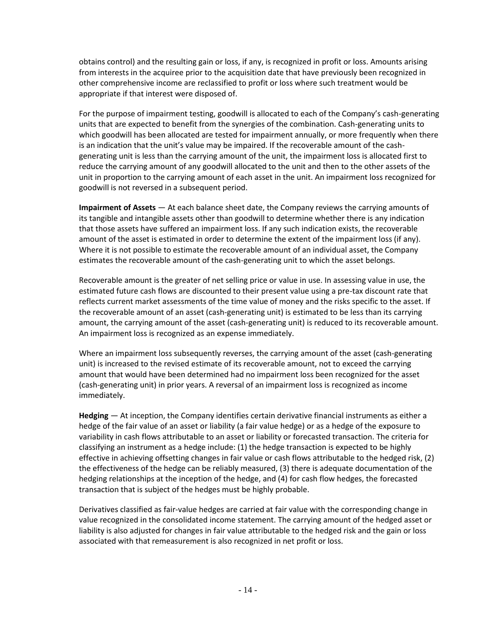obtains control) and the resulting gain or loss, if any, is recognized in profit or loss. Amounts arising from interests in the acquiree prior to the acquisition date that have previously been recognized in other comprehensive income are reclassified to profit or loss where such treatment would be appropriate if that interest were disposed of.

For the purpose of impairment testing, goodwill is allocated to each of the Company's cash-generating units that are expected to benefit from the synergies of the combination. Cash-generating units to which goodwill has been allocated are tested for impairment annually, or more frequently when there is an indication that the unit's value may be impaired. If the recoverable amount of the cashgenerating unit is less than the carrying amount of the unit, the impairment loss is allocated first to reduce the carrying amount of any goodwill allocated to the unit and then to the other assets of the unit in proportion to the carrying amount of each asset in the unit. An impairment loss recognized for goodwill is not reversed in a subsequent period.

**Impairment of Assets** — At each balance sheet date, the Company reviews the carrying amounts of its tangible and intangible assets other than goodwill to determine whether there is any indication that those assets have suffered an impairment loss. If any such indication exists, the recoverable amount of the asset is estimated in order to determine the extent of the impairment loss (if any). Where it is not possible to estimate the recoverable amount of an individual asset, the Company estimates the recoverable amount of the cash-generating unit to which the asset belongs.

Recoverable amount is the greater of net selling price or value in use. In assessing value in use, the estimated future cash flows are discounted to their present value using a pre-tax discount rate that reflects current market assessments of the time value of money and the risks specific to the asset. If the recoverable amount of an asset (cash-generating unit) is estimated to be less than its carrying amount, the carrying amount of the asset (cash-generating unit) is reduced to its recoverable amount. An impairment loss is recognized as an expense immediately.

Where an impairment loss subsequently reverses, the carrying amount of the asset (cash-generating unit) is increased to the revised estimate of its recoverable amount, not to exceed the carrying amount that would have been determined had no impairment loss been recognized for the asset (cash-generating unit) in prior years. A reversal of an impairment loss is recognized as income immediately.

**Hedging** — At inception, the Company identifies certain derivative financial instruments as either a hedge of the fair value of an asset or liability (a fair value hedge) or as a hedge of the exposure to variability in cash flows attributable to an asset or liability or forecasted transaction. The criteria for classifying an instrument as a hedge include: (1) the hedge transaction is expected to be highly effective in achieving offsetting changes in fair value or cash flows attributable to the hedged risk, (2) the effectiveness of the hedge can be reliably measured, (3) there is adequate documentation of the hedging relationships at the inception of the hedge, and (4) for cash flow hedges, the forecasted transaction that is subject of the hedges must be highly probable.

Derivatives classified as fair-value hedges are carried at fair value with the corresponding change in value recognized in the consolidated income statement. The carrying amount of the hedged asset or liability is also adjusted for changes in fair value attributable to the hedged risk and the gain or loss associated with that remeasurement is also recognized in net profit or loss.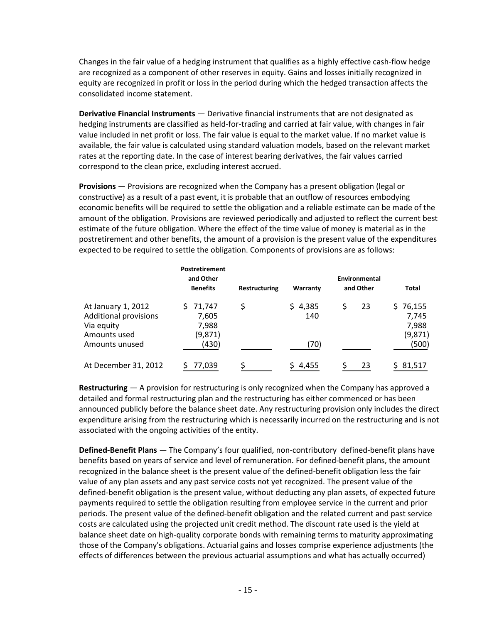Changes in the fair value of a hedging instrument that qualifies as a highly effective cash-flow hedge are recognized as a component of other reserves in equity. Gains and losses initially recognized in equity are recognized in profit or loss in the period during which the hedged transaction affects the consolidated income statement.

**Derivative Financial Instruments** — Derivative financial instruments that are not designated as hedging instruments are classified as held-for-trading and carried at fair value, with changes in fair value included in net profit or loss. The fair value is equal to the market value. If no market value is available, the fair value is calculated using standard valuation models, based on the relevant market rates at the reporting date. In the case of interest bearing derivatives, the fair values carried correspond to the clean price, excluding interest accrued.

**Provisions** — Provisions are recognized when the Company has a present obligation (legal or constructive) as a result of a past event, it is probable that an outflow of resources embodying economic benefits will be required to settle the obligation and a reliable estimate can be made of the amount of the obligation. Provisions are reviewed periodically and adjusted to reflect the current best estimate of the future obligation. Where the effect of the time value of money is material as in the postretirement and other benefits, the amount of a provision is the present value of the expenditures expected to be required to settle the obligation. Components of provisions are as follows:

|                                                                                                    | <b>Postretirement</b><br>and Other<br><b>Benefits</b> | Restructuring | Warranty               | Environmental<br>and Other | Total                                          |
|----------------------------------------------------------------------------------------------------|-------------------------------------------------------|---------------|------------------------|----------------------------|------------------------------------------------|
| At January 1, 2012<br><b>Additional provisions</b><br>Via equity<br>Amounts used<br>Amounts unused | 71,747<br>7,605<br>7,988<br>(9,871)<br>(430)          | \$            | \$4,385<br>140<br>(70) | \$<br>23                   | \$76,155<br>7,745<br>7,988<br>(9,871)<br>(500) |
| At December 31, 2012                                                                               | 77,039                                                |               | \$4,455                | 23                         | 81,517<br>S.                                   |

**Restructuring** — A provision for restructuring is only recognized when the Company has approved a detailed and formal restructuring plan and the restructuring has either commenced or has been announced publicly before the balance sheet date. Any restructuring provision only includes the direct expenditure arising from the restructuring which is necessarily incurred on the restructuring and is not associated with the ongoing activities of the entity.

**Defined-Benefit Plans** — The Company's four qualified, non-contributory defined-benefit plans have benefits based on years of service and level of remuneration. For defined-benefit plans, the amount recognized in the balance sheet is the present value of the defined-benefit obligation less the fair value of any plan assets and any past service costs not yet recognized. The present value of the defined-benefit obligation is the present value, without deducting any plan assets, of expected future payments required to settle the obligation resulting from employee service in the current and prior periods. The present value of the defined-benefit obligation and the related current and past service costs are calculated using the projected unit credit method. The discount rate used is the yield at balance sheet date on high-quality corporate bonds with remaining terms to maturity approximating those of the Company's obligations. Actuarial gains and losses comprise experience adjustments (the effects of differences between the previous actuarial assumptions and what has actually occurred)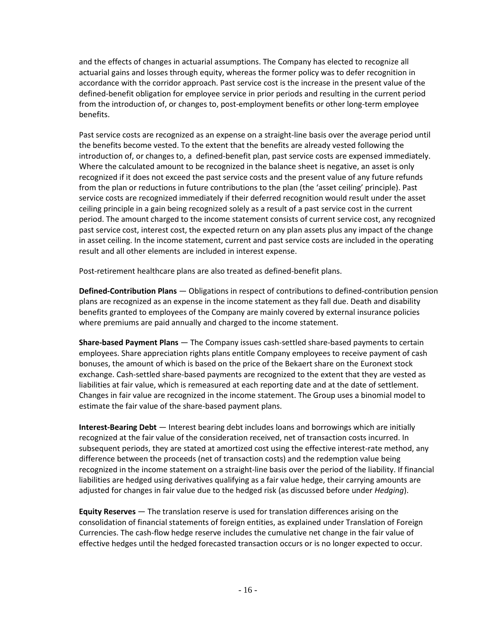and the effects of changes in actuarial assumptions. The Company has elected to recognize all actuarial gains and losses through equity, whereas the former policy was to defer recognition in accordance with the corridor approach. Past service cost is the increase in the present value of the defined-benefit obligation for employee service in prior periods and resulting in the current period from the introduction of, or changes to, post-employment benefits or other long-term employee benefits.

Past service costs are recognized as an expense on a straight-line basis over the average period until the benefits become vested. To the extent that the benefits are already vested following the introduction of, or changes to, a defined-benefit plan, past service costs are expensed immediately. Where the calculated amount to be recognized in the balance sheet is negative, an asset is only recognized if it does not exceed the past service costs and the present value of any future refunds from the plan or reductions in future contributions to the plan (the 'asset ceiling' principle). Past service costs are recognized immediately if their deferred recognition would result under the asset ceiling principle in a gain being recognized solely as a result of a past service cost in the current period. The amount charged to the income statement consists of current service cost, any recognized past service cost, interest cost, the expected return on any plan assets plus any impact of the change in asset ceiling. In the income statement, current and past service costs are included in the operating result and all other elements are included in interest expense.

Post-retirement healthcare plans are also treated as defined-benefit plans.

**Defined-Contribution Plans** — Obligations in respect of contributions to defined-contribution pension plans are recognized as an expense in the income statement as they fall due. Death and disability benefits granted to employees of the Company are mainly covered by external insurance policies where premiums are paid annually and charged to the income statement.

**Share-based Payment Plans** — The Company issues cash-settled share-based payments to certain employees. Share appreciation rights plans entitle Company employees to receive payment of cash bonuses, the amount of which is based on the price of the Bekaert share on the Euronext stock exchange. Cash-settled share-based payments are recognized to the extent that they are vested as liabilities at fair value, which is remeasured at each reporting date and at the date of settlement. Changes in fair value are recognized in the income statement. The Group uses a binomial model to estimate the fair value of the share-based payment plans.

**Interest-Bearing Debt** — Interest bearing debt includes loans and borrowings which are initially recognized at the fair value of the consideration received, net of transaction costs incurred. In subsequent periods, they are stated at amortized cost using the effective interest-rate method, any difference between the proceeds (net of transaction costs) and the redemption value being recognized in the income statement on a straight-line basis over the period of the liability. If financial liabilities are hedged using derivatives qualifying as a fair value hedge, their carrying amounts are adjusted for changes in fair value due to the hedged risk (as discussed before under *Hedging*).

**Equity Reserves** — The translation reserve is used for translation differences arising on the consolidation of financial statements of foreign entities, as explained under Translation of Foreign Currencies. The cash-flow hedge reserve includes the cumulative net change in the fair value of effective hedges until the hedged forecasted transaction occurs or is no longer expected to occur.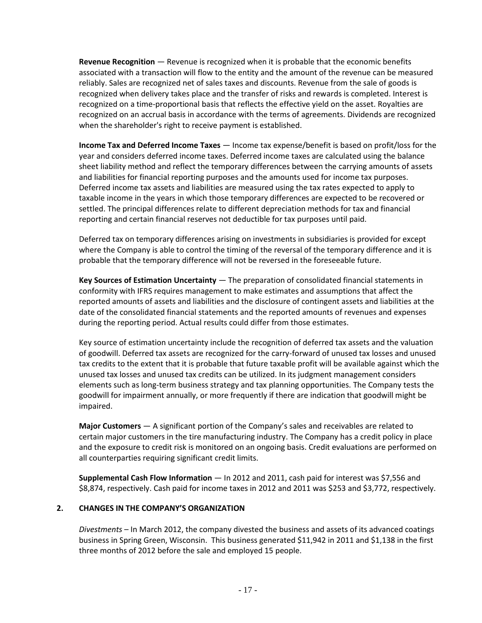**Revenue Recognition** — Revenue is recognized when it is probable that the economic benefits associated with a transaction will flow to the entity and the amount of the revenue can be measured reliably. Sales are recognized net of sales taxes and discounts. Revenue from the sale of goods is recognized when delivery takes place and the transfer of risks and rewards is completed. Interest is recognized on a time-proportional basis that reflects the effective yield on the asset. Royalties are recognized on an accrual basis in accordance with the terms of agreements. Dividends are recognized when the shareholder's right to receive payment is established.

**Income Tax and Deferred Income Taxes** — Income tax expense/benefit is based on profit/loss for the year and considers deferred income taxes. Deferred income taxes are calculated using the balance sheet liability method and reflect the temporary differences between the carrying amounts of assets and liabilities for financial reporting purposes and the amounts used for income tax purposes. Deferred income tax assets and liabilities are measured using the tax rates expected to apply to taxable income in the years in which those temporary differences are expected to be recovered or settled. The principal differences relate to different depreciation methods for tax and financial reporting and certain financial reserves not deductible for tax purposes until paid.

Deferred tax on temporary differences arising on investments in subsidiaries is provided for except where the Company is able to control the timing of the reversal of the temporary difference and it is probable that the temporary difference will not be reversed in the foreseeable future.

**Key Sources of Estimation Uncertainty** — The preparation of consolidated financial statements in conformity with IFRS requires management to make estimates and assumptions that affect the reported amounts of assets and liabilities and the disclosure of contingent assets and liabilities at the date of the consolidated financial statements and the reported amounts of revenues and expenses during the reporting period. Actual results could differ from those estimates.

Key source of estimation uncertainty include the recognition of deferred tax assets and the valuation of goodwill. Deferred tax assets are recognized for the carry-forward of unused tax losses and unused tax credits to the extent that it is probable that future taxable profit will be available against which the unused tax losses and unused tax credits can be utilized. In its judgment management considers elements such as long-term business strategy and tax planning opportunities. The Company tests the goodwill for impairment annually, or more frequently if there are indication that goodwill might be impaired.

**Major Customers** — A significant portion of the Company's sales and receivables are related to certain major customers in the tire manufacturing industry. The Company has a credit policy in place and the exposure to credit risk is monitored on an ongoing basis. Credit evaluations are performed on all counterparties requiring significant credit limits.

**Supplemental Cash Flow Information** — In 2012 and 2011, cash paid for interest was \$7,556 and \$8,874, respectively. Cash paid for income taxes in 2012 and 2011 was \$253 and \$3,772, respectively.

#### **2. CHANGES IN THE COMPANY'S ORGANIZATION**

*Divestments* – In March 2012, the company divested the business and assets of its advanced coatings business in Spring Green, Wisconsin. This business generated \$11,942 in 2011 and \$1,138 in the first three months of 2012 before the sale and employed 15 people.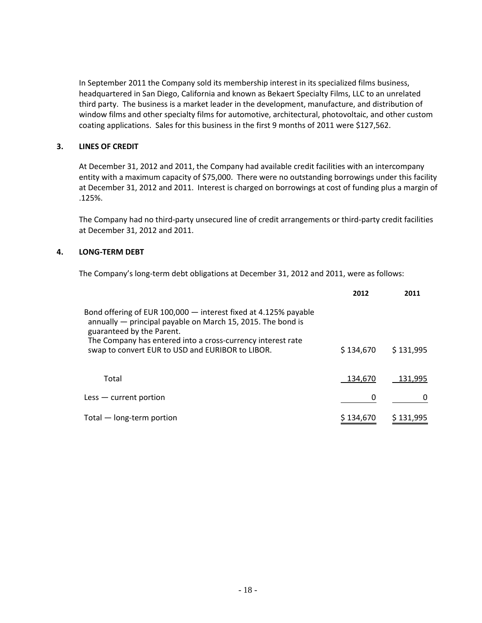In September 2011 the Company sold its membership interest in its specialized films business, headquartered in San Diego, California and known as Bekaert Specialty Films, LLC to an unrelated third party. The business is a market leader in the development, manufacture, and distribution of window films and other specialty films for automotive, architectural, photovoltaic, and other custom coating applications. Sales for this business in the first 9 months of 2011 were \$127,562.

#### **3. LINES OF CREDIT**

At December 31, 2012 and 2011, the Company had available credit facilities with an intercompany entity with a maximum capacity of \$75,000. There were no outstanding borrowings under this facility at December 31, 2012 and 2011. Interest is charged on borrowings at cost of funding plus a margin of .125%.

The Company had no third-party unsecured line of credit arrangements or third-party credit facilities at December 31, 2012 and 2011.

#### **4. LONG-TERM DEBT**

The Company's long-term debt obligations at December 31, 2012 and 2011, were as follows:

|                                                                                                                                                             | 2012      | 2011      |
|-------------------------------------------------------------------------------------------------------------------------------------------------------------|-----------|-----------|
| Bond offering of EUR 100,000 - interest fixed at 4.125% payable<br>annually — principal payable on March 15, 2015. The bond is<br>guaranteed by the Parent. |           |           |
| The Company has entered into a cross-currency interest rate<br>swap to convert EUR to USD and EURIBOR to LIBOR.                                             | \$134,670 | \$131,995 |
| Total                                                                                                                                                       | 134.670   | 131.995   |
| $\textsf{Less}$ - current portion                                                                                                                           | 0         | $\Omega$  |
| Total - long-term portion                                                                                                                                   | \$134,670 | \$131,995 |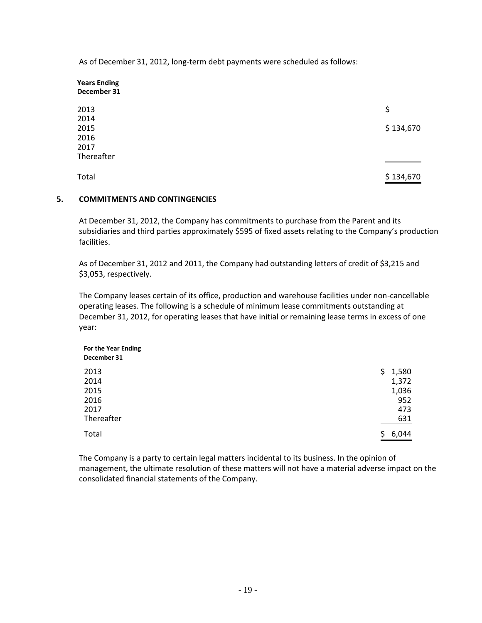As of December 31, 2012, long-term debt payments were scheduled as follows:

| <b>Years Ending</b><br>December 31 |           |
|------------------------------------|-----------|
| 2013                               | \$        |
| 2014                               |           |
| 2015                               | \$134,670 |
| 2016                               |           |
| 2017                               |           |
| Thereafter                         |           |
| Total                              | \$134,670 |

#### **5. COMMITMENTS AND CONTINGENCIES**

At December 31, 2012, the Company has commitments to purchase from the Parent and its subsidiaries and third parties approximately \$595 of fixed assets relating to the Company's production facilities.

As of December 31, 2012 and 2011, the Company had outstanding letters of credit of \$3,215 and \$3,053, respectively.

The Company leases certain of its office, production and warehouse facilities under non-cancellable operating leases. The following is a schedule of minimum lease commitments outstanding at December 31, 2012, for operating leases that have initial or remaining lease terms in excess of one year:

| For the Year Ending<br>December 31 |             |
|------------------------------------|-------------|
| 2013                               | 1,580<br>Ş. |
| 2014                               | 1,372       |
| 2015                               | 1,036       |
| 2016                               | 952         |
| 2017                               | 473         |
| Thereafter                         | 631         |
| Total                              | 6,044<br>Ş. |

The Company is a party to certain legal matters incidental to its business. In the opinion of management, the ultimate resolution of these matters will not have a material adverse impact on the consolidated financial statements of the Company.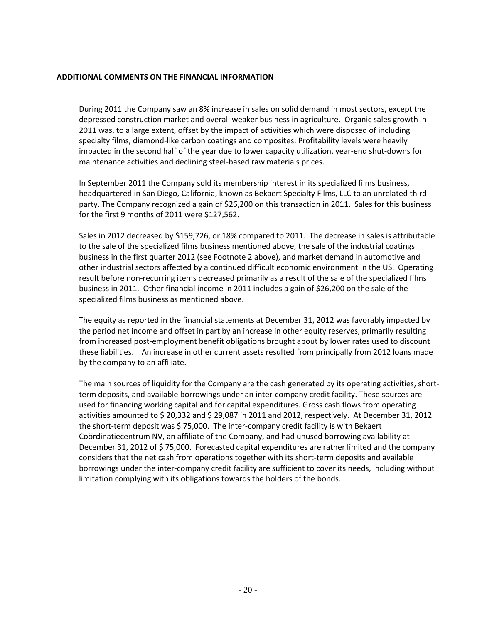#### **ADDITIONAL COMMENTS ON THE FINANCIAL INFORMATION**

During 2011 the Company saw an 8% increase in sales on solid demand in most sectors, except the depressed construction market and overall weaker business in agriculture. Organic sales growth in 2011 was, to a large extent, offset by the impact of activities which were disposed of including specialty films, diamond-like carbon coatings and composites. Profitability levels were heavily impacted in the second half of the year due to lower capacity utilization, year-end shut-downs for maintenance activities and declining steel-based raw materials prices.

In September 2011 the Company sold its membership interest in its specialized films business, headquartered in San Diego, California, known as Bekaert Specialty Films, LLC to an unrelated third party. The Company recognized a gain of \$26,200 on this transaction in 2011. Sales for this business for the first 9 months of 2011 were \$127,562.

Sales in 2012 decreased by \$159,726, or 18% compared to 2011. The decrease in sales is attributable to the sale of the specialized films business mentioned above, the sale of the industrial coatings business in the first quarter 2012 (see Footnote 2 above), and market demand in automotive and other industrial sectors affected by a continued difficult economic environment in the US. Operating result before non-recurring items decreased primarily as a result of the sale of the specialized films business in 2011. Other financial income in 2011 includes a gain of \$26,200 on the sale of the specialized films business as mentioned above.

The equity as reported in the financial statements at December 31, 2012 was favorably impacted by the period net income and offset in part by an increase in other equity reserves, primarily resulting from increased post-employment benefit obligations brought about by lower rates used to discount these liabilities. An increase in other current assets resulted from principally from 2012 loans made by the company to an affiliate.

The main sources of liquidity for the Company are the cash generated by its operating activities, shortterm deposits, and available borrowings under an inter-company credit facility. These sources are used for financing working capital and for capital expenditures. Gross cash flows from operating activities amounted to \$20,332 and \$29,087 in 2011 and 2012, respectively. At December 31, 2012 the short-term deposit was \$ 75,000. The inter-company credit facility is with Bekaert Coördinatiecentrum NV, an affiliate of the Company, and had unused borrowing availability at December 31, 2012 of \$ 75,000. Forecasted capital expenditures are rather limited and the company considers that the net cash from operations together with its short-term deposits and available borrowings under the inter-company credit facility are sufficient to cover its needs, including without limitation complying with its obligations towards the holders of the bonds.